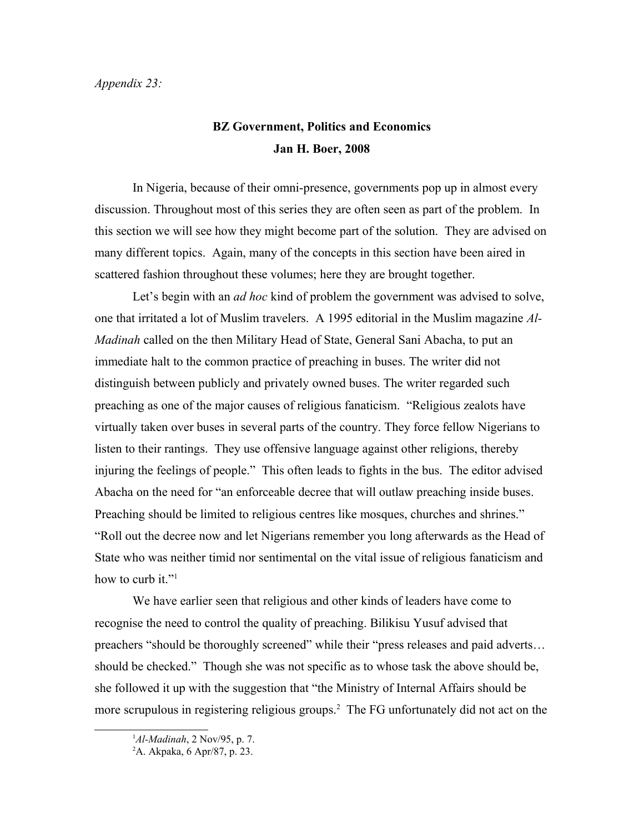## *Appendix 23:*

## **BZ Government, Politics and Economics Jan H. Boer, 2008**

In Nigeria, because of their omni-presence, governments pop up in almost every discussion. Throughout most of this series they are often seen as part of the problem. In this section we will see how they might become part of the solution. They are advised on many different topics. Again, many of the concepts in this section have been aired in scattered fashion throughout these volumes; here they are brought together.

Let's begin with an *ad hoc* kind of problem the government was advised to solve, one that irritated a lot of Muslim travelers. A 1995 editorial in the Muslim magazine *Al-Madinah* called on the then Military Head of State, General Sani Abacha, to put an immediate halt to the common practice of preaching in buses. The writer did not distinguish between publicly and privately owned buses. The writer regarded such preaching as one of the major causes of religious fanaticism. "Religious zealots have virtually taken over buses in several parts of the country. They force fellow Nigerians to listen to their rantings. They use offensive language against other religions, thereby injuring the feelings of people." This often leads to fights in the bus. The editor advised Abacha on the need for "an enforceable decree that will outlaw preaching inside buses. Preaching should be limited to religious centres like mosques, churches and shrines." "Roll out the decree now and let Nigerians remember you long afterwards as the Head of State who was neither timid nor sentimental on the vital issue of religious fanaticism and how to curb it."<sup>[1](#page-0-0)</sup>

We have earlier seen that religious and other kinds of leaders have come to recognise the need to control the quality of preaching. Bilikisu Yusuf advised that preachers "should be thoroughly screened" while their "press releases and paid adverts… should be checked." Though she was not specific as to whose task the above should be, she followed it up with the suggestion that "the Ministry of Internal Affairs should be more scrupulous in registering religious groups.<sup>[2](#page-0-1)</sup> The FG unfortunately did not act on the

<span id="page-0-0"></span><sup>1</sup>*Al-Madinah*, 2 Nov/95, p. 7.

<span id="page-0-1"></span><sup>2</sup>A. Akpaka, 6 Apr/87, p. 23.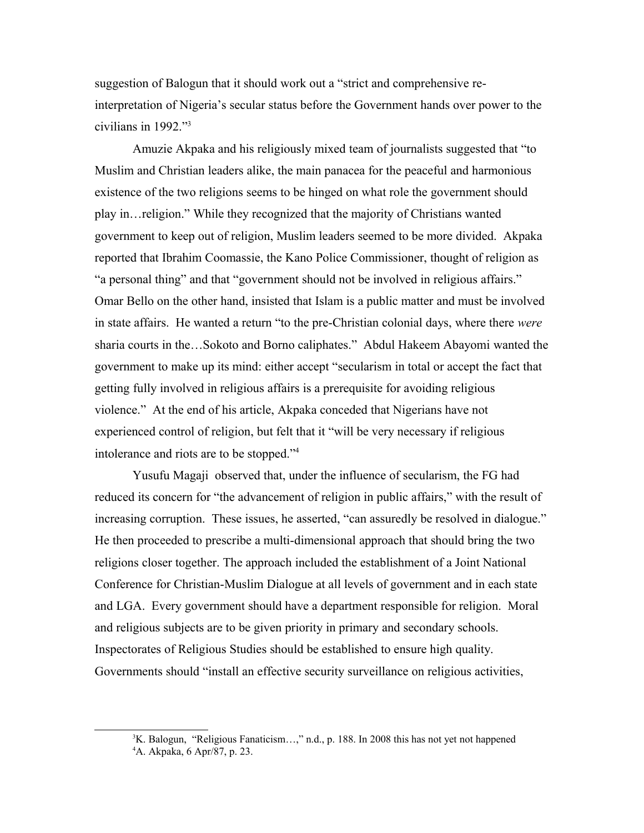suggestion of Balogun that it should work out a "strict and comprehensive reinterpretation of Nigeria's secular status before the Government hands over power to the civilians in 1992."[3](#page-1-0)

Amuzie Akpaka and his religiously mixed team of journalists suggested that "to Muslim and Christian leaders alike, the main panacea for the peaceful and harmonious existence of the two religions seems to be hinged on what role the government should play in…religion." While they recognized that the majority of Christians wanted government to keep out of religion, Muslim leaders seemed to be more divided. Akpaka reported that Ibrahim Coomassie, the Kano Police Commissioner, thought of religion as "a personal thing" and that "government should not be involved in religious affairs." Omar Bello on the other hand, insisted that Islam is a public matter and must be involved in state affairs. He wanted a return "to the pre-Christian colonial days, where there *were*  sharia courts in the…Sokoto and Borno caliphates." Abdul Hakeem Abayomi wanted the government to make up its mind: either accept "secularism in total or accept the fact that getting fully involved in religious affairs is a prerequisite for avoiding religious violence." At the end of his article, Akpaka conceded that Nigerians have not experienced control of religion, but felt that it "will be very necessary if religious intolerance and riots are to be stopped."[4](#page-1-1)

Yusufu Magaji observed that, under the influence of secularism, the FG had reduced its concern for "the advancement of religion in public affairs," with the result of increasing corruption. These issues, he asserted, "can assuredly be resolved in dialogue." He then proceeded to prescribe a multi-dimensional approach that should bring the two religions closer together. The approach included the establishment of a Joint National Conference for Christian-Muslim Dialogue at all levels of government and in each state and LGA. Every government should have a department responsible for religion. Moral and religious subjects are to be given priority in primary and secondary schools. Inspectorates of Religious Studies should be established to ensure high quality. Governments should "install an effective security surveillance on religious activities,

<span id="page-1-1"></span><span id="page-1-0"></span><sup>&</sup>lt;sup>3</sup>K. Balogun, "Religious Fanaticism...," n.d., p. 188. In 2008 this has not yet not happened 4A. Akpaka, 6 Apr/87, p. 23.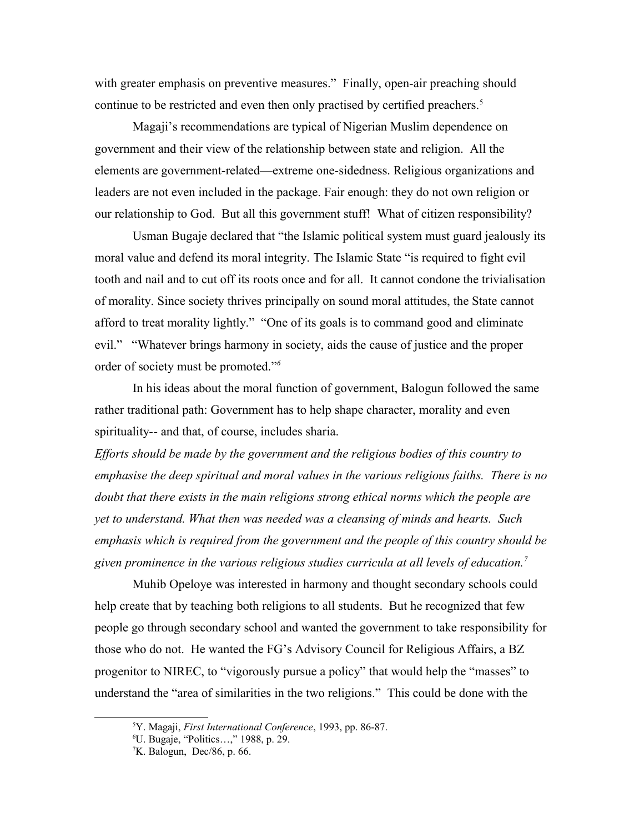with greater emphasis on preventive measures." Finally, open-air preaching should continue to be restricted and even then only practised by certified preachers.<sup>[5](#page-2-0)</sup>

Magaji's recommendations are typical of Nigerian Muslim dependence on government and their view of the relationship between state and religion. All the elements are government-related—extreme one-sidedness. Religious organizations and leaders are not even included in the package. Fair enough: they do not own religion or our relationship to God. But all this government stuff! What of citizen responsibility?

Usman Bugaje declared that "the Islamic political system must guard jealously its moral value and defend its moral integrity. The Islamic State "is required to fight evil tooth and nail and to cut off its roots once and for all. It cannot condone the trivialisation of morality. Since society thrives principally on sound moral attitudes, the State cannot afford to treat morality lightly." "One of its goals is to command good and eliminate evil." "Whatever brings harmony in society, aids the cause of justice and the proper order of society must be promoted."*[6](#page-2-1)*

In his ideas about the moral function of government, Balogun followed the same rather traditional path: Government has to help shape character, morality and even spirituality-- and that, of course, includes sharia.

*Efforts should be made by the government and the religious bodies of this country to emphasise the deep spiritual and moral values in the various religious faiths. There is no doubt that there exists in the main religions strong ethical norms which the people are yet to understand. What then was needed was a cleansing of minds and hearts. Such emphasis which is required from the government and the people of this country should be given prominence in the various religious studies curricula at all levels of education.[7](#page-2-2)*

Muhib Opeloye was interested in harmony and thought secondary schools could help create that by teaching both religions to all students. But he recognized that few people go through secondary school and wanted the government to take responsibility for those who do not. He wanted the FG's Advisory Council for Religious Affairs, a BZ progenitor to NIREC, to "vigorously pursue a policy" that would help the "masses" to understand the "area of similarities in the two religions." This could be done with the

<span id="page-2-0"></span><sup>5</sup>Y. Magaji, *First International Conference*, 1993, pp. 86-87.

<span id="page-2-1"></span><sup>6</sup>U. Bugaje, "Politics…," 1988, p. 29.

<span id="page-2-2"></span> $K$ . Balogun, Dec/86, p. 66.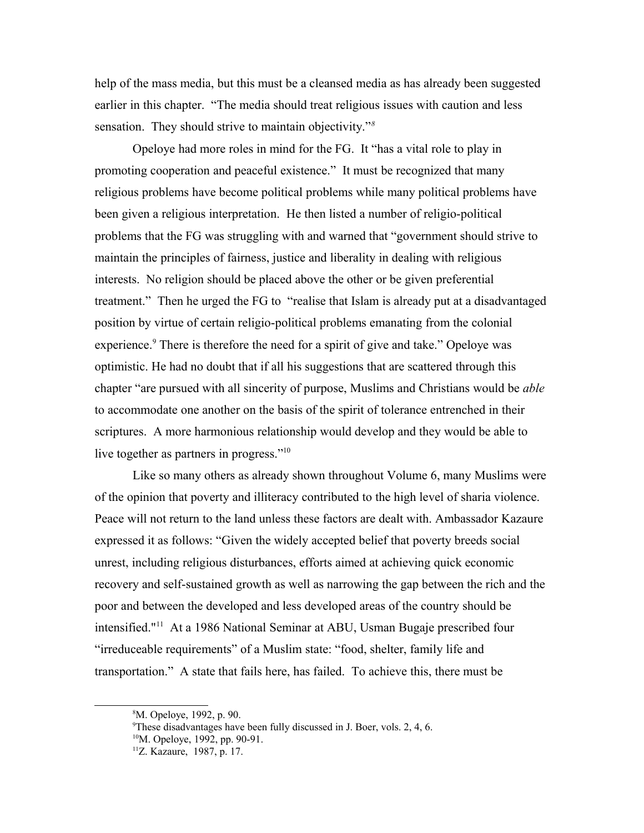help of the mass media, but this must be a cleansed media as has already been suggested earlier in this chapter. "The media should treat religious issues with caution and less sensation. They should strive to maintain objectivity."*[8](#page-3-0)*

Opeloye had more roles in mind for the FG. It "has a vital role to play in promoting cooperation and peaceful existence." It must be recognized that many religious problems have become political problems while many political problems have been given a religious interpretation. He then listed a number of religio-political problems that the FG was struggling with and warned that "government should strive to maintain the principles of fairness, justice and liberality in dealing with religious interests. No religion should be placed above the other or be given preferential treatment." Then he urged the FG to "realise that Islam is already put at a disadvantaged position by virtue of certain religio-political problems emanating from the colonial experience.<sup>[9](#page-3-1)</sup> There is therefore the need for a spirit of give and take." Opeloye was optimistic. He had no doubt that if all his suggestions that are scattered through this chapter "are pursued with all sincerity of purpose, Muslims and Christians would be *able* to accommodate one another on the basis of the spirit of tolerance entrenched in their scriptures. A more harmonious relationship would develop and they would be able to live together as partners in progress."[10](#page-3-2)

Like so many others as already shown throughout Volume 6, many Muslims were of the opinion that poverty and illiteracy contributed to the high level of sharia violence. Peace will not return to the land unless these factors are dealt with. Ambassador Kazaure expressed it as follows: "Given the widely accepted belief that poverty breeds social unrest, including religious disturbances, efforts aimed at achieving quick economic recovery and self-sustained growth as well as narrowing the gap between the rich and the poor and between the developed and less developed areas of the country should be intensified."[11](#page-3-3) At a 1986 National Seminar at ABU, Usman Bugaje prescribed four "irreduceable requirements" of a Muslim state: "food, shelter, family life and transportation." A state that fails here, has failed. To achieve this, there must be

<span id="page-3-0"></span><sup>8</sup>M. Opeloye, 1992, p. 90.

<span id="page-3-1"></span><sup>&</sup>lt;sup>9</sup>These disadvantages have been fully discussed in J. Boer, vols. 2, 4, 6.

<span id="page-3-2"></span><sup>&</sup>lt;sup>10</sup>M. Opeloye, 1992, pp. 90-91.

<span id="page-3-3"></span><sup>11</sup>Z. Kazaure, 1987, p. 17.